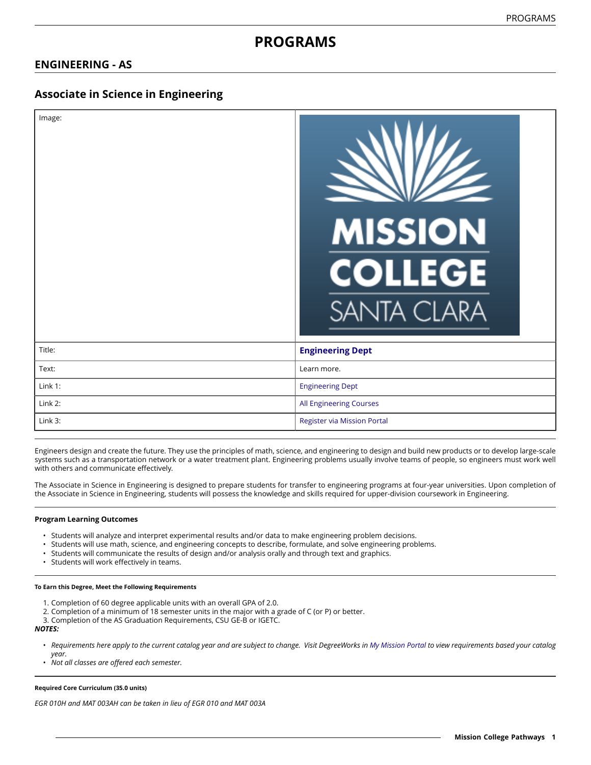# **PROGRAMS**

# **ENGINEERING - AS**

# **Associate in Science in Engineering**

| Image:  | <b>MISSION</b><br><b>COLLEGE</b><br><b>SANTA CLARA</b> |
|---------|--------------------------------------------------------|
| Title:  | <b>Engineering Dept</b>                                |
| Text:   | Learn more.                                            |
| Link 1: | <b>Engineering Dept</b>                                |
| Link 2: | All Engineering Courses                                |
| Link 3: | <b>Register via Mission Portal</b>                     |

Engineers design and create the future. They use the principles of math, science, and engineering to design and build new products or to develop large-scale systems such as a transportation network or a water treatment plant. Engineering problems usually involve teams of people, so engineers must work well with others and communicate effectively.

The Associate in Science in Engineering is designed to prepare students for transfer to engineering programs at four-year universities. Upon completion of the Associate in Science in Engineering, students will possess the knowledge and skills required for upper-division coursework in Engineering.

### **Program Learning Outcomes**

- Students will analyze and interpret experimental results and/or data to make engineering problem decisions.
- Students will use math, science, and engineering concepts to describe, formulate, and solve engineering problems.
- Students will communicate the results of design and/or analysis orally and through text and graphics.
- Students will work effectively in teams.

#### **To Earn this Degree, Meet the Following Requirements**

- 1. Completion of 60 degree applicable units with an overall GPA of 2.0.
- 2. Completion of a minimum of 18 semester units in the major with a grade of C (or P) or better.
- 3. Completion of the AS Graduation Requirements, CSU GE-B or IGETC.

*NOTES:*

- Requirements here apply to the current catalog year and are subject to change. Visit DegreeWorks in [My Mission Portal](https://wvmccd.sharepoint.com/sites/MCPortal) to view requirements based your catalog *year.*
- *Not all classes are offered each semester.*

#### **Required Core Curriculum (35.0 units)**

*EGR 010H and MAT 003AH can be taken in lieu of EGR 010 and MAT 003A*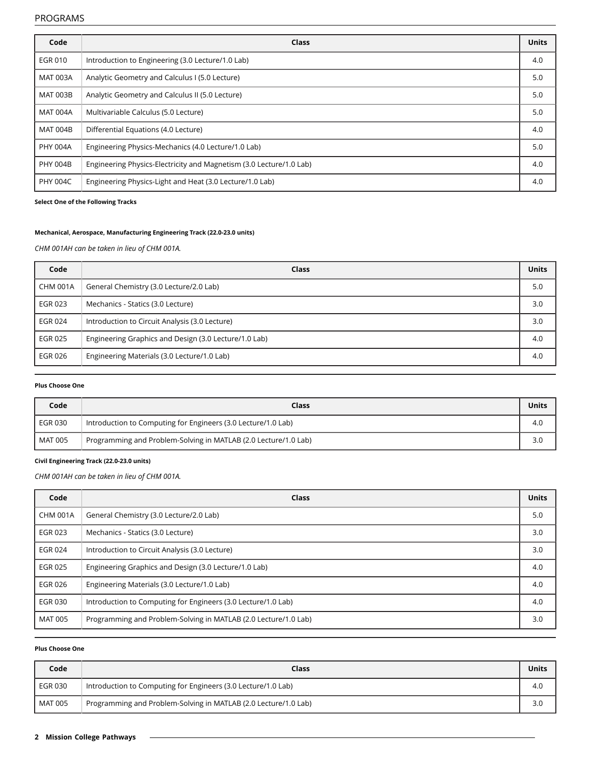| Code            | <b>Class</b>                                                        | <b>Units</b> |
|-----------------|---------------------------------------------------------------------|--------------|
| EGR 010         | Introduction to Engineering (3.0 Lecture/1.0 Lab)                   | 4.0          |
| <b>MAT 003A</b> | Analytic Geometry and Calculus I (5.0 Lecture)                      | 5.0          |
| <b>MAT 003B</b> | Analytic Geometry and Calculus II (5.0 Lecture)                     | 5.0          |
| <b>MAT 004A</b> | Multivariable Calculus (5.0 Lecture)                                | 5.0          |
| <b>MAT 004B</b> | Differential Equations (4.0 Lecture)                                | 4.0          |
| <b>PHY 004A</b> | Engineering Physics-Mechanics (4.0 Lecture/1.0 Lab)                 | 5.0          |
| <b>PHY 004B</b> | Engineering Physics-Electricity and Magnetism (3.0 Lecture/1.0 Lab) | 4.0          |
| <b>PHY 004C</b> | Engineering Physics-Light and Heat (3.0 Lecture/1.0 Lab)            | 4.0          |

**Select One of the Following Tracks**

### **Mechanical, Aerospace, Manufacturing Engineering Track (22.0-23.0 units)**

*CHM 001AH can be taken in lieu of CHM 001A.*

| Code            | Class                                                 | <b>Units</b> |
|-----------------|-------------------------------------------------------|--------------|
| <b>CHM 001A</b> | General Chemistry (3.0 Lecture/2.0 Lab)               | 5.0          |
| <b>EGR 023</b>  | Mechanics - Statics (3.0 Lecture)                     | 3.0          |
| <b>EGR 024</b>  | Introduction to Circuit Analysis (3.0 Lecture)        | 3.0          |
| EGR 025         | Engineering Graphics and Design (3.0 Lecture/1.0 Lab) | 4.0          |
| <b>EGR 026</b>  | Engineering Materials (3.0 Lecture/1.0 Lab)           | 4.0          |

#### **Plus Choose One**

| Code    | <b>Class</b>                                                    | Units |
|---------|-----------------------------------------------------------------|-------|
| EGR 030 | Introduction to Computing for Engineers (3.0 Lecture/1.0 Lab)   | 4.0   |
| MAT 005 | Programming and Problem-Solving in MATLAB (2.0 Lecture/1.0 Lab) | 3.0   |

### **Civil Engineering Track (22.0-23.0 units)**

*CHM 001AH can be taken in lieu of CHM 001A.*

| Code            | Class                                                           | <b>Units</b> |
|-----------------|-----------------------------------------------------------------|--------------|
| <b>CHM 001A</b> | General Chemistry (3.0 Lecture/2.0 Lab)                         | 5.0          |
| <b>EGR 023</b>  | Mechanics - Statics (3.0 Lecture)                               | 3.0          |
| <b>EGR 024</b>  | Introduction to Circuit Analysis (3.0 Lecture)                  | 3.0          |
| <b>EGR 025</b>  | Engineering Graphics and Design (3.0 Lecture/1.0 Lab)           | 4.0          |
| <b>EGR 026</b>  | Engineering Materials (3.0 Lecture/1.0 Lab)                     | 4.0          |
| <b>EGR 030</b>  | Introduction to Computing for Engineers (3.0 Lecture/1.0 Lab)   | 4.0          |
| <b>MAT 005</b>  | Programming and Problem-Solving in MATLAB (2.0 Lecture/1.0 Lab) | 3.0          |

# **Plus Choose One**

| Code    | <b>Class</b>                                                    | Units |
|---------|-----------------------------------------------------------------|-------|
| EGR 030 | Introduction to Computing for Engineers (3.0 Lecture/1.0 Lab)   | 4.0   |
| MAT 005 | Programming and Problem-Solving in MATLAB (2.0 Lecture/1.0 Lab) | 3.0   |